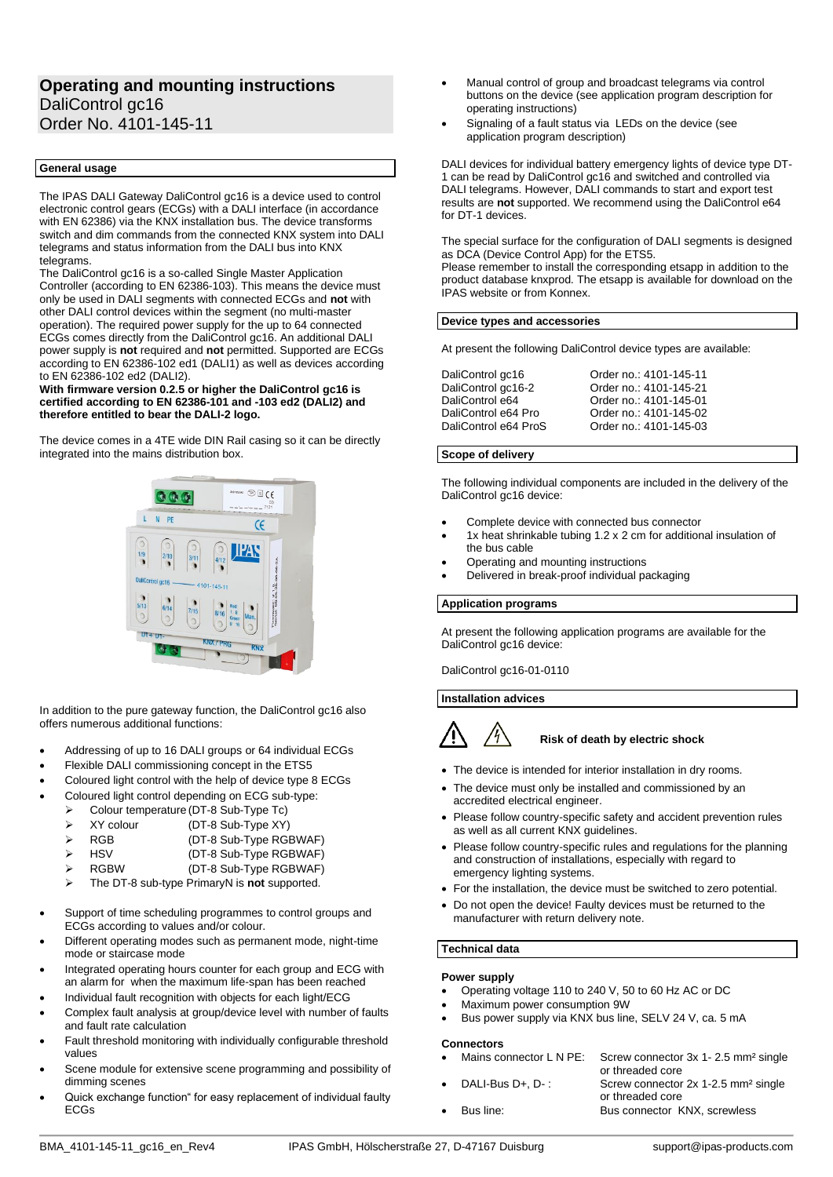# **Operating and mounting instructions** DaliControl ac16 Order No. 4101-145-11

# **General usage**

The IPAS DALI Gateway DaliControl gc16 is a device used to control electronic control gears (ECGs) with a DALI interface (in accordance with EN 62386) via the KNX installation bus. The device transforms switch and dim commands from the connected KNX system into DALI telegrams and status information from the DALI bus into KNX telegrams.

The DaliControl gc16 is a so-called Single Master Application Controller (according to EN 62386-103). This means the device must only be used in DALI segments with connected ECGs and **not** with other DALI control devices within the segment (no multi-master operation). The required power supply for the up to 64 connected ECGs comes directly from the DaliControl gc16. An additional DALI power supply is **not** required and **not** permitted. Supported are ECGs according to EN 62386-102 ed1 (DALI1) as well as devices according to EN 62386-102 ed2 (DALI2).

#### **With firmware version 0.2.5 or higher the DaliControl gc16 is certified according to EN 62386-101 and -103 ed2 (DALI2) and therefore entitled to bear the DALI-2 logo.**

The device comes in a 4TE wide DIN Rail casing so it can be directly integrated into the mains distribution box.



In addition to the pure gateway function, the DaliControl gc16 also offers numerous additional functions:

- Addressing of up to 16 DALI groups or 64 individual ECGs
- Flexible DALI commissioning concept in the ETS5
- Coloured light control with the help of device type 8 ECGs
- Coloured light control depending on ECG sub-type:
	- ➢ Colour temperature (DT-8 Sub-Type Tc)
	- ➢ XY colour (DT-8 Sub-Type XY)
	- ➢ RGB (DT-8 Sub-Type RGBWAF)
	- ➢ HSV (DT-8 Sub-Type RGBWAF)
	- ➢ RGBW (DT-8 Sub-Type RGBWAF)
		- ➢ The DT-8 sub-type PrimaryN is **not** supported.
- Support of time scheduling programmes to control groups and ECGs according to values and/or colour.
- Different operating modes such as permanent mode, night-time mode or staircase mode
- Integrated operating hours counter for each group and ECG with an alarm for when the maximum life-span has been reached
- Individual fault recognition with objects for each light/ECG
- Complex fault analysis at group/device level with number of faults and fault rate calculation
- Fault threshold monitoring with individually configurable threshold values
- Scene module for extensive scene programming and possibility of dimming scenes
- Quick exchange function" for easy replacement of individual faulty ECGs
- Manual control of group and broadcast telegrams via control buttons on the device (see application program description for operating instructions)
- Signaling of a fault status via LEDs on the device (see application program description)

DALI devices for individual battery emergency lights of device type DT-1 can be read by DaliControl gc16 and switched and controlled via DALI telegrams. However, DALI commands to start and export test results are **not** supported. We recommend using the DaliControl e64 for DT-1 devices.

The special surface for the configuration of DALI segments is designed as DCA (Device Control App) for the ETS5.

Please remember to install the corresponding etsapp in addition to the product database knxprod. The etsapp is available for download on the IPAS website or from Konnex.

#### **Device types and accessories**

At present the following DaliControl device types are available:

| DaliControl gc16     | Order no.: 4101-145-11 |
|----------------------|------------------------|
| DaliControl gc16-2   | Order no.: 4101-145-21 |
| DaliControl e64      | Order no.: 4101-145-01 |
| DaliControl e64 Pro  | Order no.: 4101-145-02 |
| DaliControl e64 ProS | Order no.: 4101-145-03 |

### **Scope of delivery**

The following individual components are included in the delivery of the DaliControl gc16 device:

- Complete device with connected bus connector
- 1x heat shrinkable tubing 1.2 x 2 cm for additional insulation of the bus cable
- Operating and mounting instructions
- Delivered in break-proof individual packaging

**Application programs**

At present the following application programs are available for the DaliControl gc16 device:

DaliControl gc16-01-0110

**Installation advices**



# **Risk of death by electric shock**

- The device is intended for interior installation in dry rooms.
- The device must only be installed and commissioned by an accredited electrical engineer.
- Please follow country-specific safety and accident prevention rules as well as all current KNX guidelines.
- Please follow country-specific rules and regulations for the planning and construction of installations, especially with regard to emergency lighting systems.
- For the installation, the device must be switched to zero potential.
- Do not open the device! Faulty devices must be returned to the manufacturer with return delivery note.

# **Technical data**

## **Power supply**

- Operating voltage 110 to 240 V, 50 to 60 Hz AC or DC
- Maximum power consumption 9W
- Bus power supply via KNX bus line, SELV 24 V, ca. 5 mA

## **Connectors**

- Mains connector L N PE: Screw connector 3x 1- 2.5 mm<sup>2</sup> single or threaded core • DALI-Bus D+, D- : Screw connector 2x 1-2.5 mm² single
	- or threaded core • Bus line: Bus connector KNX, screwless
		-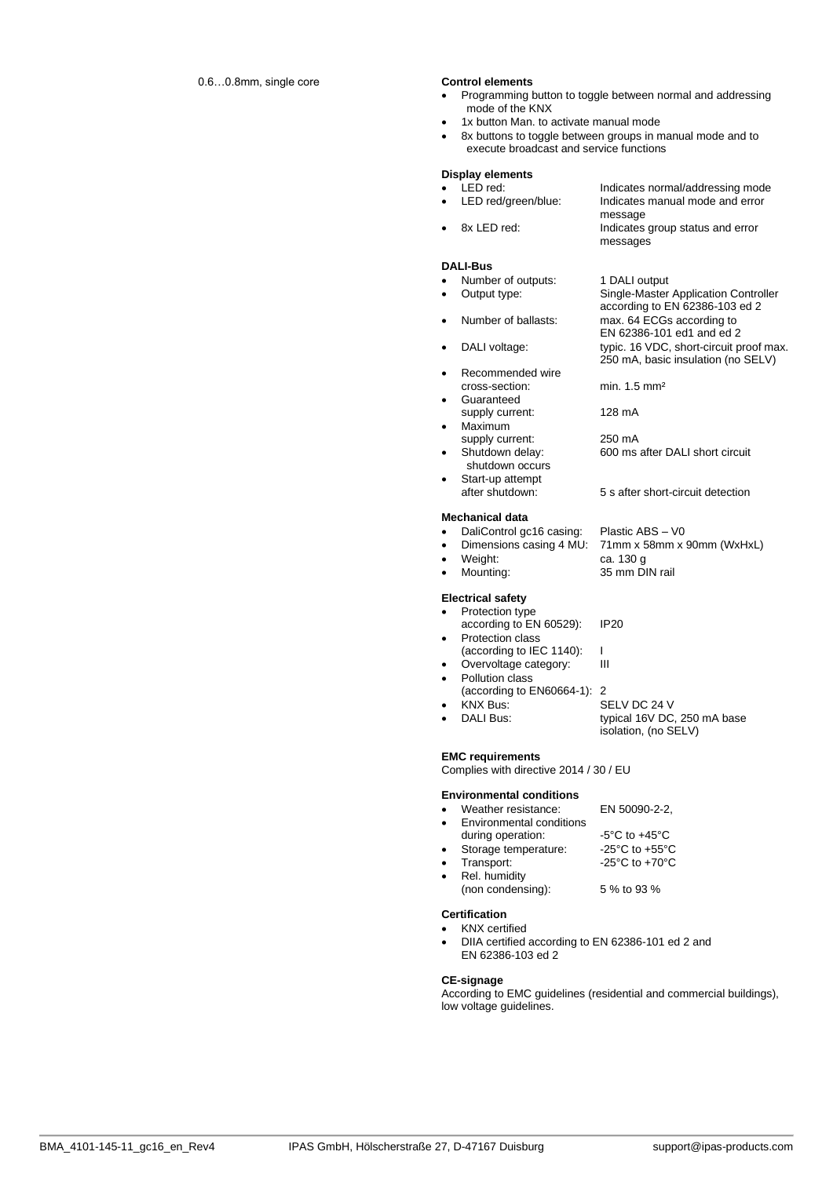- Programming button to toggle between normal and addressing mode of the KNX
- 1x button Man. to activate manual mode
- 8x buttons to toggle between groups in manual mode and to execute broadcast and service functions

|           | <b>Display elements</b>                     |                                         |
|-----------|---------------------------------------------|-----------------------------------------|
|           | LED red:                                    | Indicates normal/addressing mode        |
| $\bullet$ | LED red/green/blue:                         | Indicates manual mode and error         |
|           |                                             | message                                 |
|           | 8x LED red:                                 | Indicates group status and error        |
|           |                                             | messages                                |
|           | <b>DALI-Bus</b>                             |                                         |
|           | Number of outputs:                          | 1 DALI output                           |
|           | Output type:                                | Single-Master Application Controller    |
|           |                                             | according to EN 62386-103 ed 2          |
|           | Number of ballasts:                         | max. 64 ECGs according to               |
|           |                                             | EN 62386-101 ed1 and ed 2               |
|           | DALI voltage:                               | typic. 16 VDC, short-circuit proof max. |
|           |                                             | 250 mA, basic insulation (no SELV)      |
| $\bullet$ | Recommended wire                            |                                         |
|           | cross-section:                              | min. $1.5 \text{ mm}^2$                 |
|           | Guaranteed                                  |                                         |
|           | supply current:                             | 128 mA                                  |
|           | Maximum                                     |                                         |
|           | supply current:                             | 250 mA                                  |
|           | Shutdown delay:<br>shutdown occurs          | 600 ms after DALI short circuit         |
|           | Start-up attempt                            |                                         |
|           | after shutdown:                             | 5 s after short-circuit detection       |
|           |                                             |                                         |
|           | <b>Mechanical data</b>                      |                                         |
| $\bullet$ | DaliControl gc16 casing:                    | Plastic ABS - V0                        |
| $\bullet$ | Dimensions casing 4 MU:                     | 71mm x 58mm x 90mm (WxHxL)              |
| $\bullet$ | Weight:                                     | ca. 130 g                               |
| $\bullet$ | Mounting:                                   | 35 mm DIN rail                          |
|           |                                             |                                         |
| $\bullet$ | <b>Electrical safety</b><br>Protection type |                                         |
|           | according to EN 60529):                     | <b>IP20</b>                             |
| $\bullet$ | Protection class                            |                                         |
|           | (according to IEC 1140):                    | L                                       |
|           | Overvoltage category:                       | Ш                                       |
| $\bullet$ | Pollution class                             |                                         |
|           | (according to EN60664-1): 2                 |                                         |
|           | <b>KNX Bus:</b>                             | SELV DC 24 V                            |
| $\bullet$ | DALI Bus:                                   | typical 16V DC, 250 mA base             |
|           |                                             |                                         |
|           |                                             | isolation, (no SELV)                    |
|           |                                             |                                         |
|           | <b>EMC requirements</b>                     |                                         |
|           | Complies with directive 2014 / 30 / EU      |                                         |
|           | <b>Environmental conditions</b>             |                                         |
|           | Weather resistance:                         | EN 50090-2-2,                           |
|           | <b>Environmental conditions</b>             |                                         |

- during operation: -5°C to +45°C
- Storage temperature: -25°C to +55°C • Transport:  $-25^{\circ}$ C to +70 $^{\circ}$ C
- 
- Rel. humidity (non condensing): 5 % to 93 %

# **Certification**

- KNX certified
- DIIA certified according to EN 62386-101 ed 2 and EN 62386-103 ed 2

#### **CE-signage**

According to EMC guidelines (residential and commercial buildings), low voltage guidelines.